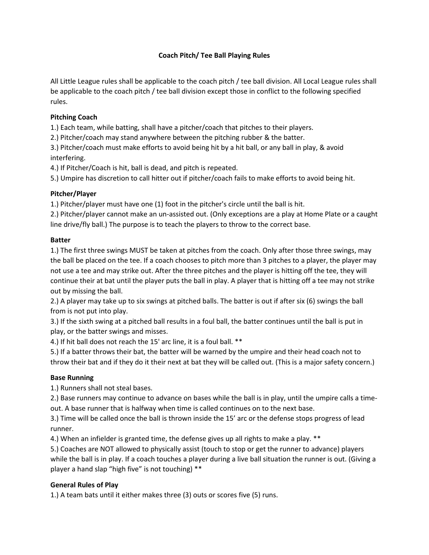# **Coach Pitch/ Tee Ball Playing Rules**

All Little League rules shall be applicable to the coach pitch / tee ball division. All Local League rules shall be applicable to the coach pitch / tee ball division except those in conflict to the following specified rules.

## **Pitching Coach**

1.) Each team, while batting, shall have a pitcher/coach that pitches to their players.

2.) Pitcher/coach may stand anywhere between the pitching rubber & the batter.

3.) Pitcher/coach must make efforts to avoid being hit by a hit ball, or any ball in play, & avoid interfering.

4.) If Pitcher/Coach is hit, ball is dead, and pitch is repeated.

5.) Umpire has discretion to call hitter out if pitcher/coach fails to make efforts to avoid being hit.

#### **Pitcher/Player**

1.) Pitcher/player must have one (1) foot in the pitcher's circle until the ball is hit.

2.) Pitcher/player cannot make an un-assisted out. (Only exceptions are a play at Home Plate or a caught line drive/fly ball.) The purpose is to teach the players to throw to the correct base.

#### **Batter**

1.) The first three swings MUST be taken at pitches from the coach. Only after those three swings, may the ball be placed on the tee. If a coach chooses to pitch more than 3 pitches to a player, the player may not use a tee and may strike out. After the three pitches and the player is hitting off the tee, they will continue their at bat until the player puts the ball in play. A player that is hitting off a tee may not strike out by missing the ball.

2.) A player may take up to six swings at pitched balls. The batter is out if after six (6) swings the ball from is not put into play.

3.) If the sixth swing at a pitched ball results in a foul ball, the batter continues until the ball is put in play, or the batter swings and misses.

4.) If hit ball does not reach the 15' arc line, it is a foul ball. \*\*

5.) If a batter throws their bat, the batter will be warned by the umpire and their head coach not to throw their bat and if they do it their next at bat they will be called out. (This is a major safety concern.)

## **Base Running**

1.) Runners shall not steal bases.

2.) Base runners may continue to advance on bases while the ball is in play, until the umpire calls a timeout. A base runner that is halfway when time is called continues on to the next base.

3.) Time will be called once the ball is thrown inside the 15' arc or the defense stops progress of lead runner.

4.) When an infielder is granted time, the defense gives up all rights to make a play. \*\*

5.) Coaches are NOT allowed to physically assist (touch to stop or get the runner to advance) players while the ball is in play. If a coach touches a player during a live ball situation the runner is out. (Giving a player a hand slap "high five" is not touching) \*\*

## **General Rules of Play**

1.) A team bats until it either makes three (3) outs or scores five (5) runs.